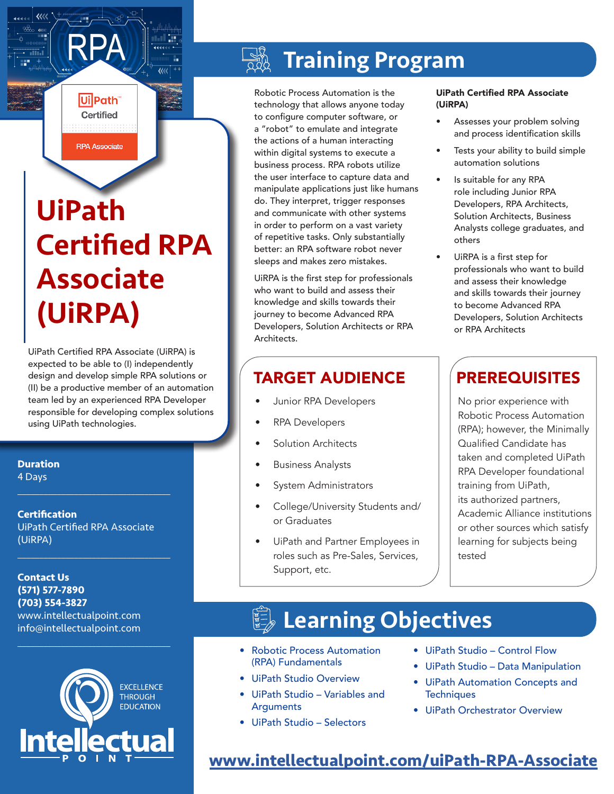**RPA Associate** UiPath

Ui Path Certified

## Certified RPA Associate (UiRPA)

UiPath Certified RPA Associate (UiRPA) is expected to be able to (I) independently design and develop simple RPA solutions or (II) be a productive member of an automation team led by an experienced RPA Developer responsible for developing complex solutions using UiPath technologies.

**Duration**

4 Days

**Certification** UiPath Certified RPA Associate (UiRPA)

 $\mathcal{L}_\text{max}$  and  $\mathcal{L}_\text{max}$  and  $\mathcal{L}_\text{max}$  and  $\mathcal{L}_\text{max}$ 

 $\mathcal{L}_\text{max}$  and  $\mathcal{L}_\text{max}$  and  $\mathcal{L}_\text{max}$  and  $\mathcal{L}_\text{max}$ 

**Contact Us (571) 577-7890 (703) 554-3827** www.intellectualpoint.com info@intellectualpoint.com



 $\mathcal{L}_\text{max}$  and  $\mathcal{L}_\text{max}$  and  $\mathcal{L}_\text{max}$  and  $\mathcal{L}_\text{max}$ 

## Training Program

Robotic Process Automation is the technology that allows anyone today to configure computer software, or a "robot" to emulate and integrate the actions of a human interacting within digital systems to execute a business process. RPA robots utilize the user interface to capture data and manipulate applications just like humans do. They interpret, trigger responses and communicate with other systems in order to perform on a vast variety of repetitive tasks. Only substantially better: an RPA software robot never sleeps and makes zero mistakes.

UiRPA is the first step for professionals who want to build and assess their knowledge and skills towards their journey to become Advanced RPA Developers, Solution Architects or RPA Architects.

#### TARGET AUDIENCE | PREREQUISITES

- Junior RPA Developers
- RPA Developers
- Solution Architects
- Business Analysts
- System Administrators
- College/University Students and/ or Graduates
- UiPath and Partner Employees in roles such as Pre-Sales, Services, Support, etc.

#### UiPath Certified RPA Associate (UiRPA)

- Assesses your problem solving and process identification skills
- Tests your ability to build simple automation solutions
- Is suitable for any RPA role including Junior RPA Developers, RPA Architects, Solution Architects, Business Analysts college graduates, and others
- UiRPA is a first step for professionals who want to build and assess their knowledge and skills towards their journey to become Advanced RPA Developers, Solution Architects or RPA Architects

No prior experience with Robotic Process Automation (RPA); however, the Minimally Qualified Candidate has taken and completed UiPath RPA Developer foundational training from UiPath, its authorized partners, Academic Alliance institutions or other sources which satisfy learning for subjects being tested

## Learning Objectives

- Robotic Process Automation (RPA) Fundamentals
- UiPath Studio Overview
- UiPath Studio Variables and **Arguments**
- UiPath Studio Selectors
- UiPath Studio Control Flow
- UiPath Studio Data Manipulation
- UiPath Automation Concepts and **Techniques**
- UiPath Orchestrator Overview

#### **[www.intellectualpoint.com/u](https://www.intellectualpoint.com/aws-assoc)iPath-RPA-Associate**